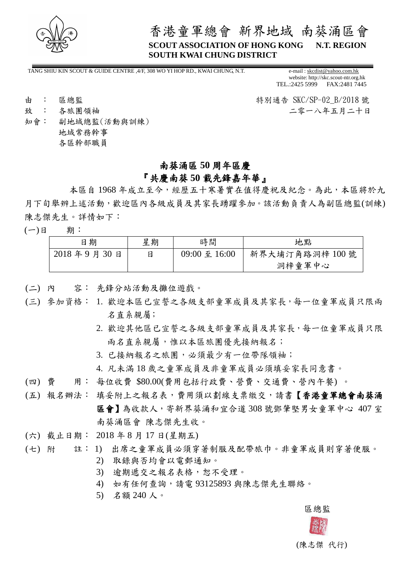

# 香港童軍總會 新界地域 南葵涌區會 **SCOUT ASSOCIATION OF HONG KONG N.T. REGION SOUTH KWAI CHUNG DISTRICT**

TANG SHIU KIN SCOUT & GUIDE CENTRE ,4/F, 308 WO YI HOP RD., KWAI CHUNG, N.T. e-mail [: skcdist@yahoo.com.hk](mailto:skcdist@yahoo.com.hk)

website: http://skc.scout-ntr.org.hk TEL.:2425 5999 FAX:2481 7445

由 : 區總監 キング・シーク - インター - インター - 特別通告 SKC/SP-02 B/2018 號 致 : 各旅團領袖 2000年 - 2000年 - 2000年 - 2000年 - 2000年 - 2000年 - 2000年 - 2000年 - 2000年 - 2000年 - 2000年 - 2000年 - 2000年 - 2000年 - 2000年 - 2000年 - 2000年 - 2000年 - 2000年 - 2000年 - 2000年 - 2000年 - 2000年 - 2000年 - 2000年 - 2000年 - 2000

知會: 副地域總監(活動與訓練) 地域常務幹事 各區幹部職員

### 南葵涌區 **50** 周年區慶

### 『共慶南葵 **50** 載先鋒嘉年華』

本區自 1968 年成立至今,經歷五十寒暑實在值得慶祝及紀念。為此,本區將於九 月下旬舉辨上述活動,歡迎區內各級成員及其家長踴躍參加。該活動負責人為副區總監(訓練) 陳志傑先生。詳情如下:

(一)日 期︰

| 日期         | 星期 | 時間            | 地點             |
|------------|----|---------------|----------------|
| 2018年9月30日 |    | 09:00 至 16:00 | 新界大埔汀角路洞梓 100號 |
|            |    |               | 洞梓童軍中心         |

- (二) 內 容︰ 先鋒分站活動及攤位遊戲。
- (三) 參加資格: 1. 歡迎本區已宣誓之各級支部童軍成員及其家長,每一位童軍成員只限兩 名 直 系 親 屬;
	- 2. 歡迎其他區已宣誓之各級支部童軍成員及其家長,每一位童軍成員只限 兩名直系親屬,惟以本區旅團優先接納報名;
	- 3. 已接納報名之旅團,必須最少有一位帶隊領袖;
	- 4. 凡未滿 18 歲之童軍成員及非童軍成員必須填妥家長同意書。
- (四) 費 用: 每位收費 \$80.00(費用包括行政費、營費、交通費、營內午餐) 。
- (五) 報名辦法: 填妥附上之報名表,費用須以劃線支票繳交,請書【香港童軍總會南葵涌 區會】為收款人,寄新界葵涌和宜合道 308 號鄧肇堅男女童軍中心 407 室 南葵涌區會 陳志傑先生收。
- (六) 截止日期: 2018 年 8 月 17 日(星期五)
- (七) 附 註: 1) 出席之童軍成員必須穿著制服及配帶旅巾。非童軍成員則穿著便服。
	- 2) 取錄與否均會以電郵通知。
	- 3) 逾期遞交之報名表格,恕不受理。
	- 4) 如有任何查詢,請電 93125893 與陳志傑先生聯絡。
	- 5) 名額 240 人。



(陳志傑 代行)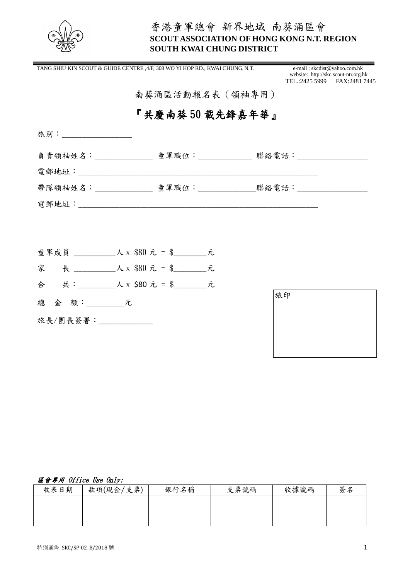

# 香港童軍總會 新界地域 南葵涌區會 **SCOUT ASSOCIATION OF HONG KONG N.T. REGION SOUTH KWAI CHUNG DISTRICT**

|                                                                                         | TANG SHIU KIN SCOUT & GUIDE CENTRE ,4/F, 308 WO YI HOP RD., KWAI CHUNG, N.T. | e-mail: skcdist@yahoo.com.hk<br>website: http://skc.scout-ntr.org.hk<br>TEL.:2425 5999 FAX:2481 7445 |
|-----------------------------------------------------------------------------------------|------------------------------------------------------------------------------|------------------------------------------------------------------------------------------------------|
| $\mathbf{E}^{(1)}$ and $\mathbf{E}^{(2)}$ and $\mathbf{E}^{(1)}$ and $\mathbf{E}^{(2)}$ | 南葵涌區活動報名表(領袖專用)                                                              |                                                                                                      |
|                                                                                         | 『共慶南葵 50 載先鋒嘉年華』                                                             |                                                                                                      |
| 旅別:__________________                                                                   |                                                                              |                                                                                                      |
|                                                                                         | 負責領袖姓名:_______________ 童軍職位:_____________ 聯絡電話:__________________            |                                                                                                      |
|                                                                                         |                                                                              |                                                                                                      |
|                                                                                         | 帶隊領袖姓名:_______________ 童軍職位:______________聯絡電話:__________________            |                                                                                                      |
|                                                                                         |                                                                              |                                                                                                      |
|                                                                                         |                                                                              |                                                                                                      |
|                                                                                         |                                                                              |                                                                                                      |
|                                                                                         |                                                                              |                                                                                                      |
|                                                                                         |                                                                              |                                                                                                      |
| 總 金 額: 元                                                                                |                                                                              | 旅印                                                                                                   |
| 旅長/團長簽署: ____________                                                                   |                                                                              |                                                                                                      |

### 區會專用 Office Use Only:

| 收表日期 | 款項(現金/支票) | 銀行名稱 | 支票號碼 | 收據號碼 | 簽名 |
|------|-----------|------|------|------|----|
|      |           |      |      |      |    |
|      |           |      |      |      |    |
|      |           |      |      |      |    |